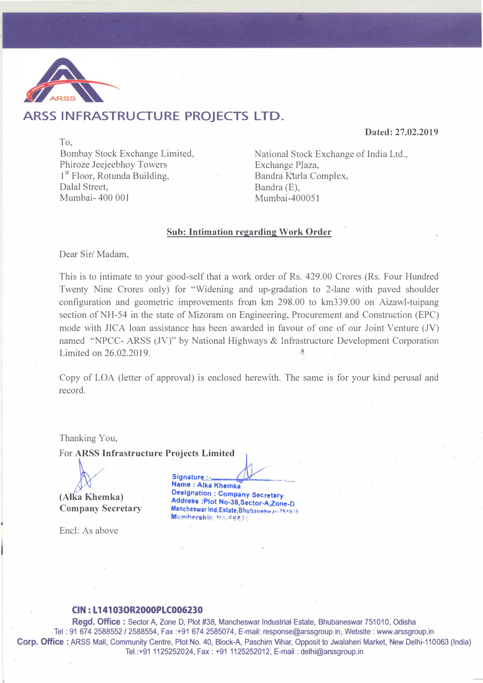

# **ARSS INFRASTRUCTURE PROJECTS LTD.**

**Dated: 27.02.2019** 

To, Bombay Stock Exchange Limited, Phiroze Jeejeebhoy Towers 1<sup>st</sup> Floor, Rotunda Building, Bandra Kurla Complex, Dalal Street, Bandra (E),<br>Mumbai-400 001 Mumbai-40

National Stock Exchange of India Ltd., Exchange Plaza,  $Mumbai-400051$ 

#### **Sub: Intimation regarding Work Order**

Dear Sir/ Madam,

This is to intimate to your good-self that a work order of Rs. 429.00 Crores (Rs. Four Hundred Twenty Nine Crores only) for "Widening and up-gradation to 2-lane with paved shoulder configuration and geometric improvements from km 298.00 to km339.00 on Aizawl-tuipang section of NH-54 in the state of Mizoram on Engineering, Procurement and Construction (EPC) mode with JICA loan assistance has been awarded in favour of one of our Joint Venture (JV) named "NPCC- ARSS (JV)" by National Highways & Infrastructure Development Corporation Limited on 26.02.2019.

Copy of LOA (letter of approval) is enclosed herewith. The same is for your kind perusal and record.

Thanking You,

Encl: As above

For ARSS Infrastructure Projects Limited<br>
Signature :-<br>
Name : Alka Khemka<br>
(Alka Khemka )<br> **Designation : Compa**<br>
Address and Address **Designation Designation: Company Secretary Address :Plot No-38,Sector-A,Zone-D Company Secretary Mancheswar Ind.Estate,Bhubaneswar-754016 Membership MalFeats** 

#### **CIN: L 14103OR2000PLC006230**

**Regd. Office** : Sector A, Zone D, Plot #38, Mancheswar Industrial Estate, Bhubaneswar 751010, Odisha Tel: 91 674 2588552 / 2588554, Fax :+91 674 2585074, E-mail: response@arssgroup.in, Website: www.arssgroup.in Corp. Office : ARSS Mall, Community Centre, Plot No. 40, Block-A, Paschim Vihar, Opposit to Jwalaheri Market, New Delhi-110063 (India) Tel.:+91 1125252024, Fax: +91 1125252012, E-mail: delhi@arssgroup.in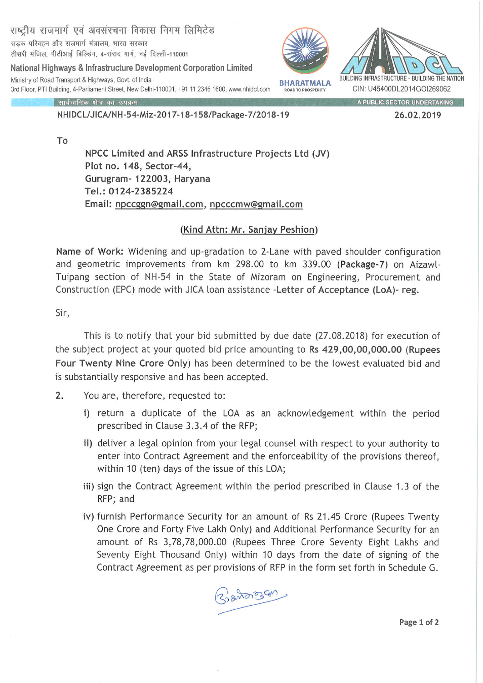सड़क परिवहन और राजमार्ग मंत्रालय, भारत सरकार तीसरी मंजिल, पीटीआई बिल्डिंग, 4-संसद मार्ग, नई दिल्ली-110001

राष्टीय राजमार्ग एवं अवसंरचना विकास निगम लिमिटेड

National Highways & Infrastructure Development Corporation Limited Ministry of Road Transport & Highways, Govt. of India 3rd Floor, PTI Building, 4-Parliament Street, New Delhi-110001, +91 11 2346 1600, www.nhidcl.com





सार्वजनिक क्षेत्र का उपक्रम

### NHIDCL/JICA/NH-54-Miz-2017-18-158/Package-7/2018-19

A PUBLIC SECTOR UNDERTAKING

26.02.2019

To

NPCC Limited and ARSS Infrastructure Projects Ltd (JV) Plot no. 148, Sector-44, Gurugram- 122003, Haryana Tel.: 0124-2385224 Email: npccggn@gmail.com, npcccmw@gmail.com

## (Kind Attn: Mr. Sanjay Peshion)

Name of Work: Widening and up-gradation to 2-Lane with paved shoulder configuration and geometric improvements from km 298.00 to km 339.00 (Package-7) on Aizawl-Tuipang section of NH-54 in the State of Mizoram on Engineering, Procurement and Construction (EPC) mode with JICA loan assistance -Letter of Acceptance (LoA)- reg.

Sir,

This is to notify that your bid submitted by due date (27.08.2018) for execution of the subject project at your quoted bid price amounting to Rs 429,00,00,000.00 (Rupees Four Twenty Nine Crore Only) has been determined to be the lowest evaluated bid and is substantially responsive and has been accepted.

- $2.$ You are, therefore, requested to:
	- i) return a duplicate of the LOA as an acknowledgement within the period prescribed in Clause 3.3.4 of the RFP;
	- ii) deliver a legal opinion from your legal counsel with respect to your authority to enter into Contract Agreement and the enforceability of the provisions thereof, within 10 (ten) days of the issue of this LOA;
	- iii) sign the Contract Agreement within the period prescribed in Clause 1.3 of the RFP; and
	- iv) furnish Performance Security for an amount of Rs 21.45 Crore (Rupees Twenty One Crore and Forty Five Lakh Only) and Additional Performance Security for an amount of Rs 3,78,78,000.00 (Rupees Three Crore Seventy Eight Lakhs and Seventy Eight Thousand Only) within 10 days from the date of signing of the Contract Agreement as per provisions of RFP in the form set forth in Schedule G.